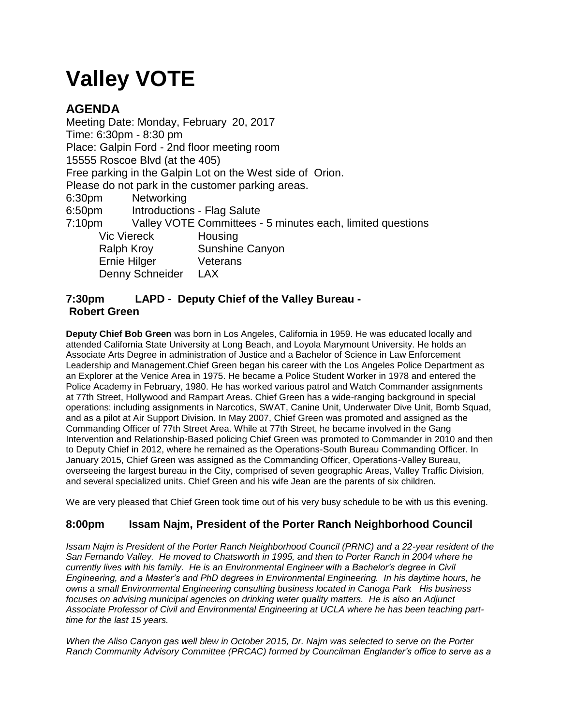# **Valley VOTE**

# **AGENDA**

Meeting Date: Monday, February 20, 2017 Time: 6:30pm - 8:30 pm Place: Galpin Ford - 2nd floor meeting room 15555 Roscoe Blvd (at the 405) Free parking in the Galpin Lot on the West side of Orion. Please do not park in the customer parking areas. 6:30pm Networking 6:50pm Introductions - Flag Salute 7:10pm Valley VOTE Committees - 5 minutes each, limited questions Vic Viereck Housing Ralph Kroy Sunshine Canyon Ernie Hilger Veterans Denny Schneider LAX

### **7:30pm LAPD** - **Deputy Chief of the Valley Bureau - Robert Green**

**Deputy Chief Bob Green** was born in Los Angeles, California in 1959. He was educated locally and attended California State University at Long Beach, and Loyola Marymount University. He holds an Associate Arts Degree in administration of Justice and a Bachelor of Science in Law Enforcement Leadership and Management.Chief Green began his career with the Los Angeles Police Department as an Explorer at the Venice Area in 1975. He became a Police Student Worker in 1978 and entered the Police Academy in February, 1980. He has worked various patrol and Watch Commander assignments at 77th Street, Hollywood and Rampart Areas. Chief Green has a wide-ranging background in special operations: including assignments in Narcotics, SWAT, Canine Unit, Underwater Dive Unit, Bomb Squad, and as a pilot at Air Support Division. In May 2007, Chief Green was promoted and assigned as the Commanding Officer of 77th Street Area. While at 77th Street, he became involved in the Gang Intervention and Relationship-Based policing Chief Green was promoted to Commander in 2010 and then to Deputy Chief in 2012, where he remained as the Operations-South Bureau Commanding Officer. In January 2015, Chief Green was assigned as the Commanding Officer, Operations-Valley Bureau, overseeing the largest bureau in the City, comprised of seven geographic Areas, Valley Traffic Division, and several specialized units. Chief Green and his wife Jean are the parents of six children.

We are very pleased that Chief Green took time out of his very busy schedule to be with us this evening.

## **8:00pm Issam Najm, President of the Porter Ranch Neighborhood Council**

*Issam Najm is President of the Porter Ranch Neighborhood Council (PRNC) and a 22-year resident of the San Fernando Valley. He moved to Chatsworth in 1995, and then to Porter Ranch in 2004 where he currently lives with his family. He is an Environmental Engineer with a Bachelor's degree in Civil Engineering, and a Master's and PhD degrees in Environmental Engineering. In his daytime hours, he owns a small Environmental Engineering consulting business located in Canoga Park His business focuses on advising municipal agencies on drinking water quality matters. He is also an Adjunct*  Associate Professor of Civil and Environmental Engineering at UCLA where he has been teaching part*time for the last 15 years.*

*When the Aliso Canyon gas well blew in October 2015, Dr. Najm was selected to serve on the Porter Ranch Community Advisory Committee (PRCAC) formed by Councilman Englander's office to serve as a*